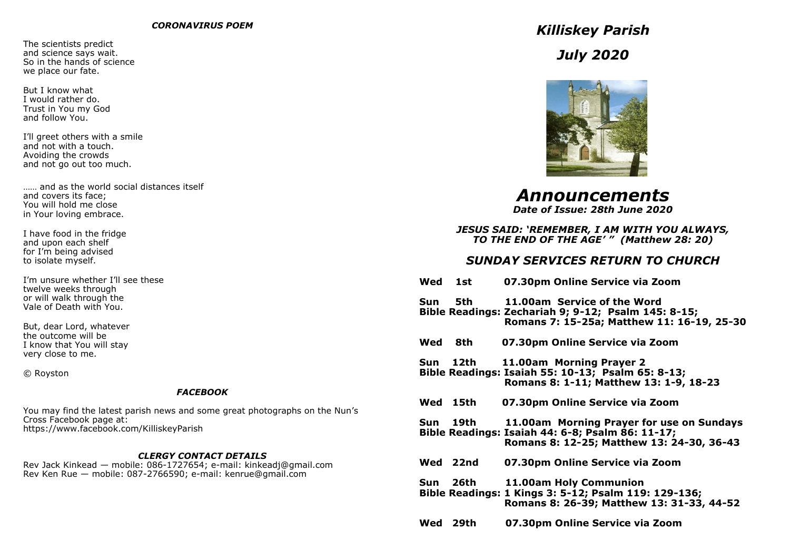The scientists predict and science says wait. So in the hands of science we place our fate.

But I know what I would rather do. Trust in You my God and follow You.

I'll greet others with a smile and not with a touch. Avoiding the crowds and not go out too much.

…… and as the world social distances itself and covers its face; You will hold me close in Your loving embrace.

I have food in the fridge and upon each shelf for I'm being advised to isolate myself.

I'm unsure whether I'll see these twelve weeks through or will walk through the Vale of Death with You.

But, dear Lord, whatever the outcome will be I know that You will stay very close to me.

© Royston

# *FACEBOOK*

You may find the latest parish news and some great photographs on the Nun's Cross Facebook page at: https://www.facebook.com/KilliskeyParish

# *CLERGY CONTACT DETAILS*

Rev Jack Kinkead — mobile: 086-1727654; e-mail: kinkeadj@gmail.com Rev Ken Rue — mobile: 087-2766590; e-mail: kenrue@gmail.com

*Killiskey Parish July 2020*



*Announcements Date of Issue: 28th June 2020*

# *JESUS SAID: 'REMEMBER, I AM WITH YOU ALWAYS, TO THE END OF THE AGE' " (Matthew 28: 20)*

# *SUNDAY SERVICES RETURN TO CHURCH*

| Wed      | 1st      | 07.30pm Online Service via Zoom                                                                                                            |
|----------|----------|--------------------------------------------------------------------------------------------------------------------------------------------|
|          | Sun 5th  | 11.00am Service of the Word<br>Bible Readings: Zechariah 9; 9-12; Psalm 145: 8-15;<br>Romans 7: 15-25a; Matthew 11: 16-19, 25-30           |
| Wed      | 8th      | 07.30pm Online Service via Zoom                                                                                                            |
|          | Sun 12th | 11.00am Morning Prayer 2<br>Bible Readings: Isaiah 55: 10-13; Psalm 65: 8-13;<br>Romans 8: 1-11; Matthew 13: 1-9, 18-23                    |
|          | Wed 15th | 07.30pm Online Service via Zoom                                                                                                            |
|          | Sun 19th | 11.00am Morning Prayer for use on Sundays<br>Bible Readings: Isaiah 44: 6-8; Psalm 86: 11-17;<br>Romans 8: 12-25; Matthew 13: 24-30, 36-43 |
|          | Wed 22nd | 07.30pm Online Service via Zoom                                                                                                            |
|          | Sun 26th | 11.00am Holy Communion<br>Bible Readings: 1 Kings 3: 5-12; Psalm 119: 129-136;<br>Romans 8: 26-39; Matthew 13: 31-33, 44-52                |
| Wed 29th |          | 07.30pm Online Service via Zoom                                                                                                            |